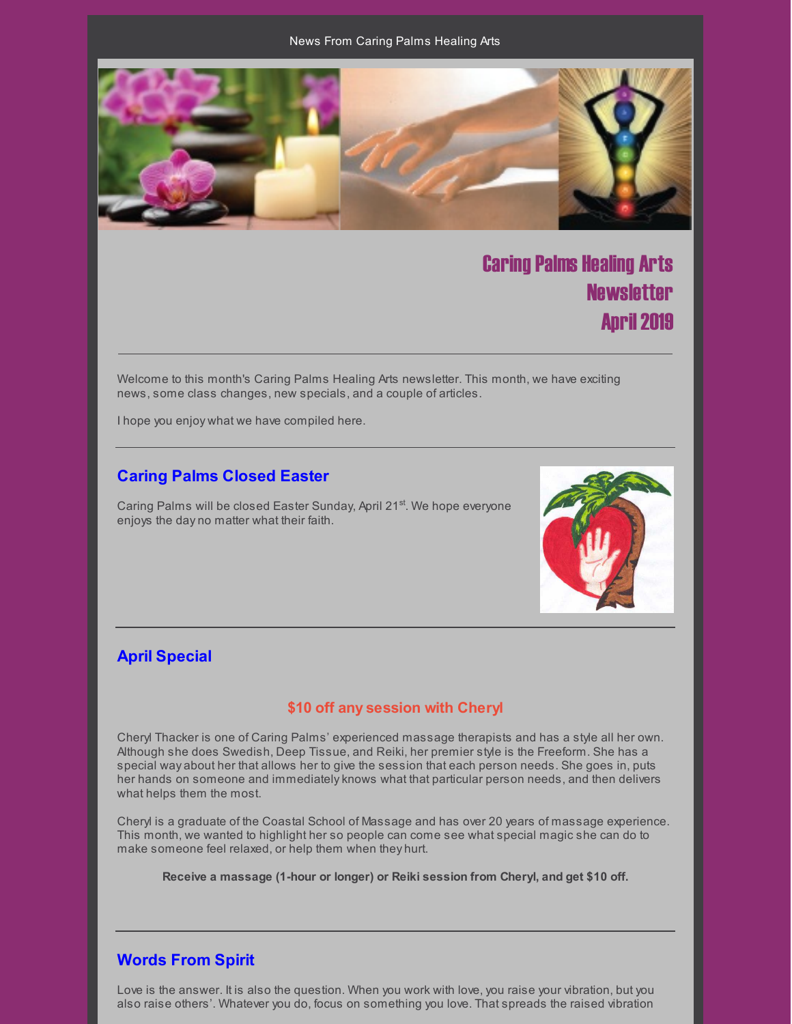

# Caring Palms Healing Arts **Newsletter April 2019**

Welcome to this month's Caring Palms Healing Arts newsletter. This month, we have exciting news, some class changes, new specials, and a couple of articles.

I hope you enjoy what we have compiled here.

#### **Caring Palms Closed Easter**

Caring Palms will be closed Easter Sunday, April 21<sup>st</sup>. We hope everyone enjoys the day no matter what their faith.



### **April Special**

#### **\$10 off any session with Cheryl**

Cheryl Thacker is one of Caring Palms' experienced massage therapists and has a style all her own. Although she does Swedish, Deep Tissue, and Reiki, her premier style is the Freeform. She has a special way about her that allows her to give the session that each person needs. She goes in, puts her hands on someone and immediatelyknows what that particular person needs, and then delivers what helps them the most.

Cheryl is a graduate of the Coastal School of Massage and has over 20 years of massage experience. This month, we wanted to highlight her so people can come see what special magic she can do to make someone feel relaxed, or help them when they hurt.

**Receive a massage (1-hour or longer) or Reiki session from Cheryl, and get \$10 off.**

#### **Words From Spirit**

Love is the answer. It is also the question. When you work with love, you raise your vibration, but you also raise others'. Whatever you do, focus on something you love. That spreads the raised vibration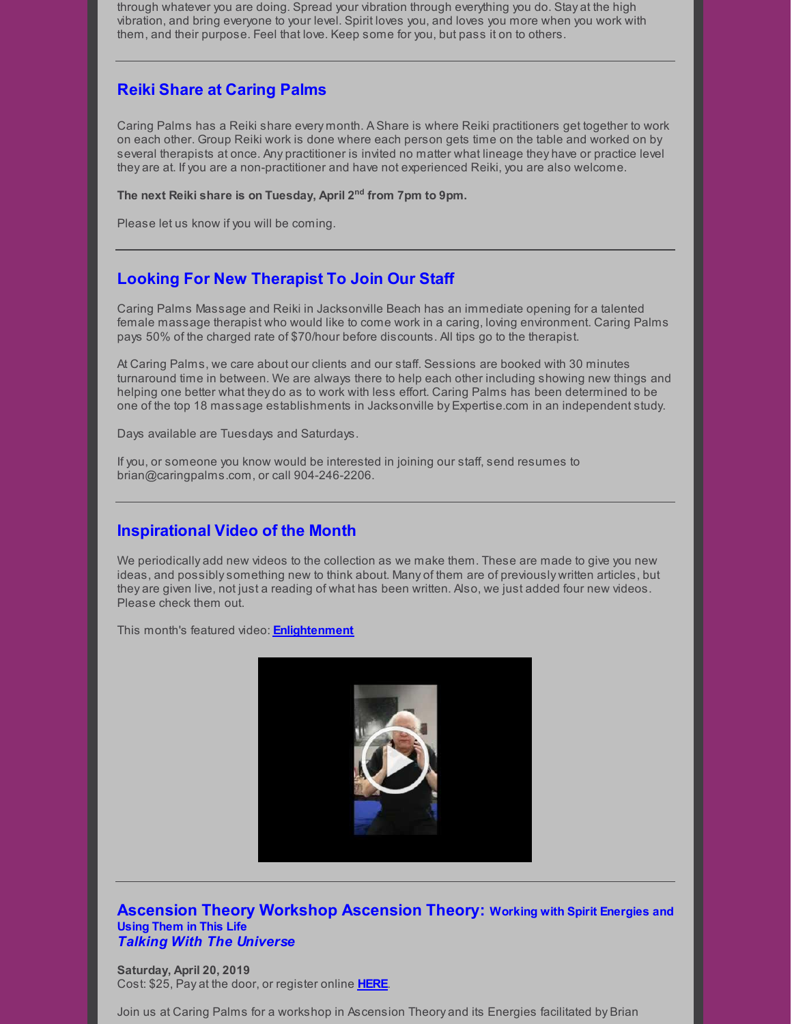through whatever you are doing. Spread your vibration through everything you do. Stay at the high vibration, and bring everyone to your level. Spirit loves you, and loves you more when you work with them, and their purpose. Feel that love. Keep some for you, but pass it on to others.

### **Reiki Share at Caring Palms**

Caring Palms has a Reiki share every month. A Share is where Reiki practitioners get together to work on each other. Group Reiki work is done where each person gets time on the table and worked on by several therapists at once. Any practitioner is invited no matter what lineage they have or practice level they are at. If you are a non-practitioner and have not experienced Reiki, you are also welcome.

**The next Reiki share is on Tuesday, April 2 nd from 7pm to 9pm.**

Please let us know if you will be coming.

# **Looking For New Therapist To Join Our Staff**

Caring Palms Massage and Reiki in Jacksonville Beach has an immediate opening for a talented female massage therapist who would like to come work in a caring, loving environment. Caring Palms pays 50% of the charged rate of \$70/hour before discounts. All tips go to the therapist.

At Caring Palms, we care about our clients and our staff. Sessions are booked with 30 minutes turnaround time in between. We are always there to help each other including showing new things and helping one better what they do as to work with less effort. Caring Palms has been determined to be one of the top 18 massage establishments in Jacksonville by Expertise.com in an independent study.

Days available are Tuesdays and Saturdays.

If you, or someone you know would be interested in joining our staff, send resumes to brian@caringpalms.com, or call 904-246-2206.

### **Inspirational Video of the Month**

We periodically add new videos to the collection as we make them. These are made to give you new ideas, and possiblysomething new to think about. Many of them are of previously written articles, but they are given live, not just a reading of what has been written. Also, we just added four new videos. Please check them out.

This month's featured video: **[Enlightenment](https://www.youtube.com/watch?v=Whl6NDFqOqE)**



#### **Ascension Theory Workshop Ascension Theory: Working with Spirit Energies and Using Them in This Life** *Talking With The Universe*

**Saturday, April 20, 2019** Cost: \$25, Pay at the door, or register online **[HERE](https://www.universe.com/events/ascension-theorysurrounding-yourself-in-the-light-april-2019-tickets-W7JXCG)**.

Join us at Caring Palms for a workshop in Ascension Theory and its Energies facilitated by Brian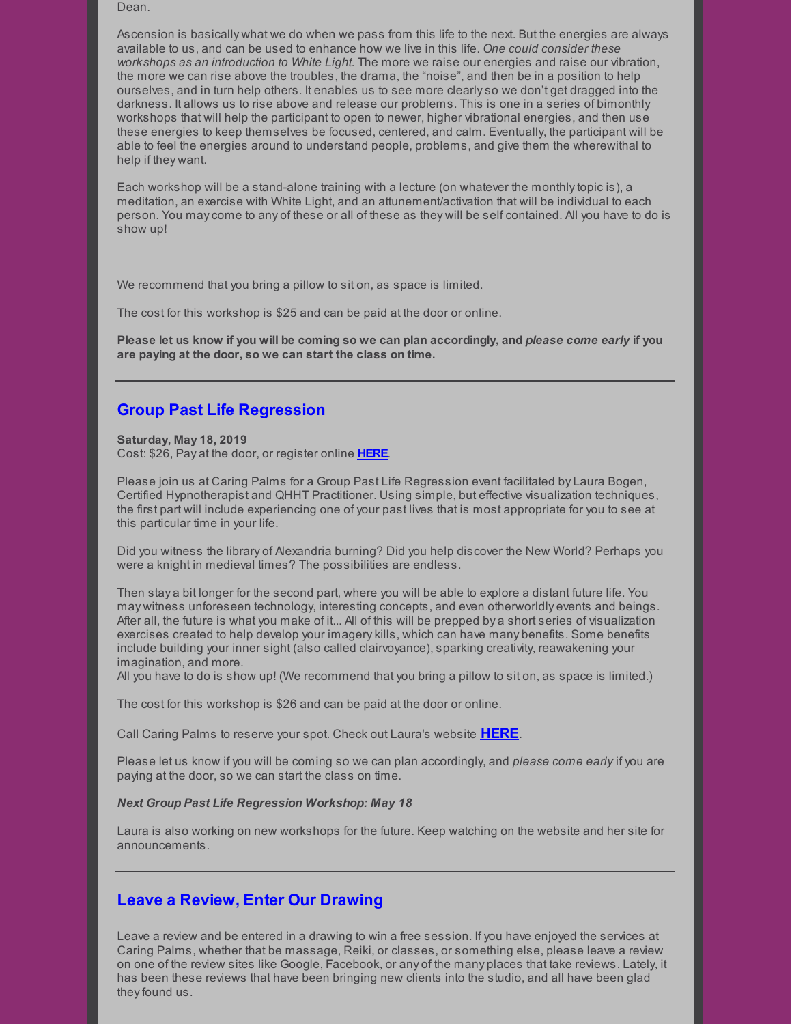Dean.

Ascension is basically what we do when we pass from this life to the next. But the energies are always available to us, and can be used to enhance how we live in this life. *One could consider these workshops as an introduction to White Light.* The more we raise our energies and raise our vibration, the more we can rise above the troubles, the drama, the "noise", and then be in a position to help ourselves, and in turn help others. It enables us to see more clearlyso we don't get dragged into the darkness. It allows us to rise above and release our problems. This is one in a series of bimonthly workshops that will help the participant to open to newer, higher vibrational energies, and then use these energies to keep themselves be focused, centered, and calm. Eventually, the participant will be able to feel the energies around to understand people, problems, and give them the wherewithal to help if they want.

Each workshop will be a stand-alone training with a lecture (on whatever the monthlytopic is), a meditation, an exercise with White Light, and an attunement/activation that will be individual to each person. You maycome to any of these or all of these as they will be self contained. All you have to do is show up!

We recommend that you bring a pillow to sit on, as space is limited.

The cost for this workshop is \$25 and can be paid at the door or online.

Please let us know if you will be coming so we can plan accordingly, and please come early if you **are paying at the door, so we can start the class on time.**

#### **Group Past Life Regression**

**Saturday, May 18, 2019** Cost: \$26, Pay at the door, or register online **[HERE](https://www.universe.com/events/group-past-life-regression-may-2019-tickets-46FP7G)**.

Please join us at Caring Palms for a Group Past Life Regression event facilitated by Laura Bogen, Certified Hypnotherapist and QHHT Practitioner. Using simple, but effective visualization techniques, the first part will include experiencing one of your past lives that is most appropriate for you to see at this particular time in your life.

Did you witness the library of Alexandria burning? Did you help discover the New World? Perhaps you were a knight in medieval times? The possibilities are endless.

Then stay a bit longer for the second part, where you will be able to explore a distant future life. You may witness unforeseen technology, interesting concepts, and even otherworldly events and beings. After all, the future is what you make of it... All of this will be prepped by a short series of visualization exercises created to help develop your imagerykills, which can have many benefits. Some benefits include building your inner sight (also called clairvoyance), sparking creativity, reawakening your imagination, and more.

All you have to do is show up! (We recommend that you bring a pillow to sit on, as space is limited.)

The cost for this workshop is \$26 and can be paid at the door or online.

Call Caring Palms to reserve your spot. Check out Laura's website **[HERE](http://www.soultrekexperience.com/)**.

Please let us know if you will be coming so we can plan accordingly, and *please come early* if you are paying at the door, so we can start the class on time.

#### *Next Group Past Life Regression Workshop: May 18*

Laura is also working on new workshops for the future. Keep watching on the website and her site for announcements.

#### **Leave a Review, Enter Our Drawing**

Leave a review and be entered in a drawing to win a free session. If you have enjoyed the services at Caring Palms, whether that be massage, Reiki, or classes, or something else, please leave a review on one of the review sites like Google, Facebook, or any of the many places that take reviews. Lately, it has been these reviews that have been bringing new clients into the studio, and all have been glad they found us.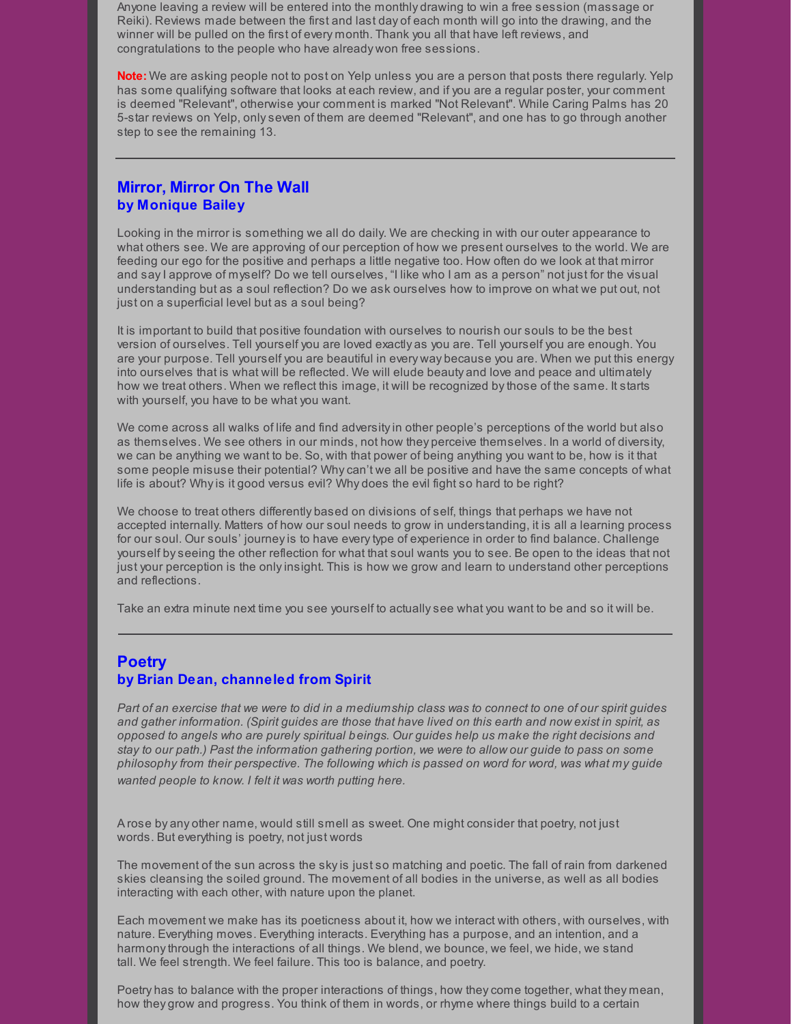Anyone leaving a review will be entered into the monthly drawing to win a free session (massage or Reiki). Reviews made between the first and last day of each month will go into the drawing, and the winner will be pulled on the first of every month. Thank you all that have left reviews, and congratulations to the people who have already won free sessions.

**Note:** We are asking people not to post on Yelp unless you are a person that posts there regularly. Yelp has some qualifying software that looks at each review, and if you are a regular poster, your comment is deemed "Relevant", otherwise your comment is marked "Not Relevant". While Caring Palms has 20 5-star reviews on Yelp, onlyseven of them are deemed "Relevant", and one has to go through another step to see the remaining 13.

#### **Mirror, Mirror On The Wall by Monique Bailey**

Looking in the mirror is something we all do daily. We are checking in with our outer appearance to what others see. We are approving of our perception of how we present ourselves to the world. We are feeding our ego for the positive and perhaps a little negative too. How often do we look at that mirror and sayI approve of myself? Do we tell ourselves, "I like who I am as a person" not just for the visual understanding but as a soul reflection? Do we ask ourselves how to improve on what we put out, not just on a superficial level but as a soul being?

It is important to build that positive foundation with ourselves to nourish our souls to be the best version of ourselves. Tell yourself you are loved exactly as you are. Tell yourself you are enough. You are your purpose. Tell yourself you are beautiful in every way because you are. When we put this energy into ourselves that is what will be reflected. We will elude beauty and love and peace and ultimately how we treat others. When we reflect this image, it will be recognized bythose of the same. It starts with yourself, you have to be what you want.

We come across all walks of life and find adversityin other people's perceptions of the world but also as themselves. We see others in our minds, not how they perceive themselves. In a world of diversity, we can be anything we want to be. So, with that power of being anything you want to be, how is it that some people misuse their potential? Whycan't we all be positive and have the same concepts of what life is about? Whyis it good versus evil? Why does the evil fight so hard to be right?

We choose to treat others differently based on divisions of self, things that perhaps we have not accepted internally. Matters of how our soul needs to grow in understanding, it is all a learning process for our soul. Our souls' journeyis to have everytype of experience in order to find balance. Challenge yourself byseeing the other reflection for what that soul wants you to see. Be open to the ideas that not just your perception is the onlyinsight. This is how we grow and learn to understand other perceptions and reflections.

Take an extra minute next time you see yourself to actuallysee what you want to be and so it will be.

#### **Poetry by Brian Dean, channeled from Spirit**

Part of an exercise that we were to did in a mediumship class was to connect to one of our spirit guides and gather information. (Spirit guides are those that have lived on this earth and now exist in spirit, as *opposed to angels who are purely spiritual beings. Our guides help us make the right decisions and* stay to our path.) Past the information gathering portion, we were to allow our guide to pass on some *philosophy from their perspective. The following which is passed on word for word, was what my guide wanted people to know. I felt it was worth putting here.*

A rose by any other name, would still smell as sweet. One might consider that poetry, not just words. But everything is poetry, not just words

The movement of the sun across the skyis just so matching and poetic. The fall of rain from darkened skies cleansing the soiled ground. The movement of all bodies in the universe, as well as all bodies interacting with each other, with nature upon the planet.

Each movement we make has its poeticness about it, how we interact with others, with ourselves, with nature. Everything moves. Everything interacts. Everything has a purpose, and an intention, and a harmonythrough the interactions of all things. We blend, we bounce, we feel, we hide, we stand tall. We feel strength. We feel failure. This too is balance, and poetry.

Poetry has to balance with the proper interactions of things, how theycome together, what they mean, how they grow and progress. You think of them in words, or rhyme where things build to a certain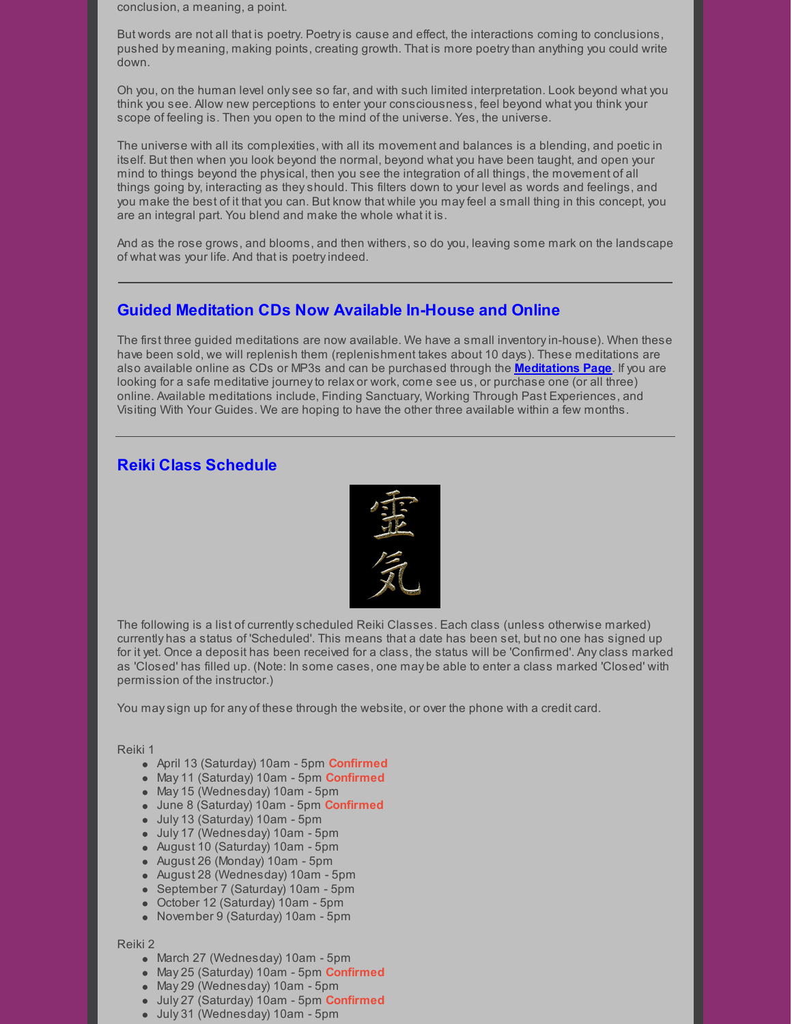conclusion, a meaning, a point.

But words are not all that is poetry. Poetryis cause and effect, the interactions coming to conclusions, pushed by meaning, making points, creating growth. That is more poetrythan anything you could write down.

Oh you, on the human level onlysee so far, and with such limited interpretation. Look beyond what you think you see. Allow new perceptions to enter your consciousness, feel beyond what you think your scope of feeling is. Then you open to the mind of the universe. Yes, the universe.

The universe with all its complexities, with all its movement and balances is a blending, and poetic in itself. But then when you look beyond the normal, beyond what you have been taught, and open your mind to things beyond the physical, then you see the integration of all things, the movement of all things going by, interacting as theyshould. This filters down to your level as words and feelings, and you make the best of it that you can. But know that while you mayfeel a small thing in this concept, you are an integral part. You blend and make the whole what it is.

And as the rose grows, and blooms, and then withers, so do you, leaving some mark on the landscape of what was your life. And that is poetry indeed.

### **Guided Meditation CDs Now Available In-House and Online**

The first three guided meditations are now available. We have a small inventoryin-house). When these have been sold, we will replenish them (replenishment takes about 10 days). These meditations are also available online as CDs or MP3s and can be purchased through the **[Meditations](http://caringpalms.com/meditations.html) Page**. If you are looking for a safe meditative journeyto relax or work, come see us, or purchase one (or all three) online. Available meditations include, Finding Sanctuary, Working Through Past Experiences, and Visiting With Your Guides. We are hoping to have the other three available within a few months.

### **Reiki Class Schedule**



The following is a list of currentlyscheduled Reiki Classes. Each class (unless otherwise marked) currently has a status of 'Scheduled'. This means that a date has been set, but no one has signed up for it yet. Once a deposit has been received for a class, the status will be 'Confirmed'. Anyclass marked as 'Closed' has filled up. (Note: In some cases, one may be able to enter a class marked 'Closed' with permission of the instructor.)

You maysign up for any of these through the website, or over the phone with a credit card.

#### Reiki 1

- April 13 (Saturday) 10am 5pm **Confirmed**
- May 11 (Saturday) 10am 5pm **Confirmed**
- May 15 (Wednesday) 10am 5pm
- June 8 (Saturday) 10am 5pm **Confirmed**
- July 13 (Saturday) 10am 5pm
- July 17 (Wednesday) 10am 5pm
- August 10 (Saturday) 10am 5pm
- August 26 (Monday) 10am 5pm
- August 28 (Wednesday) 10am 5pm
- September 7 (Saturday) 10am 5pm
- October 12 (Saturday) 10am 5pm
- November 9 (Saturday) 10am 5pm

#### Reiki 2

- March 27 (Wednesday) 10am 5pm
- May 25 (Saturday) 10am 5pm **Confirmed**
- May 29 (Wednesday) 10am 5pm
- July 27 (Saturday) 10am 5pm **Confirmed**
- July 31 (Wednesday) 10am 5pm
-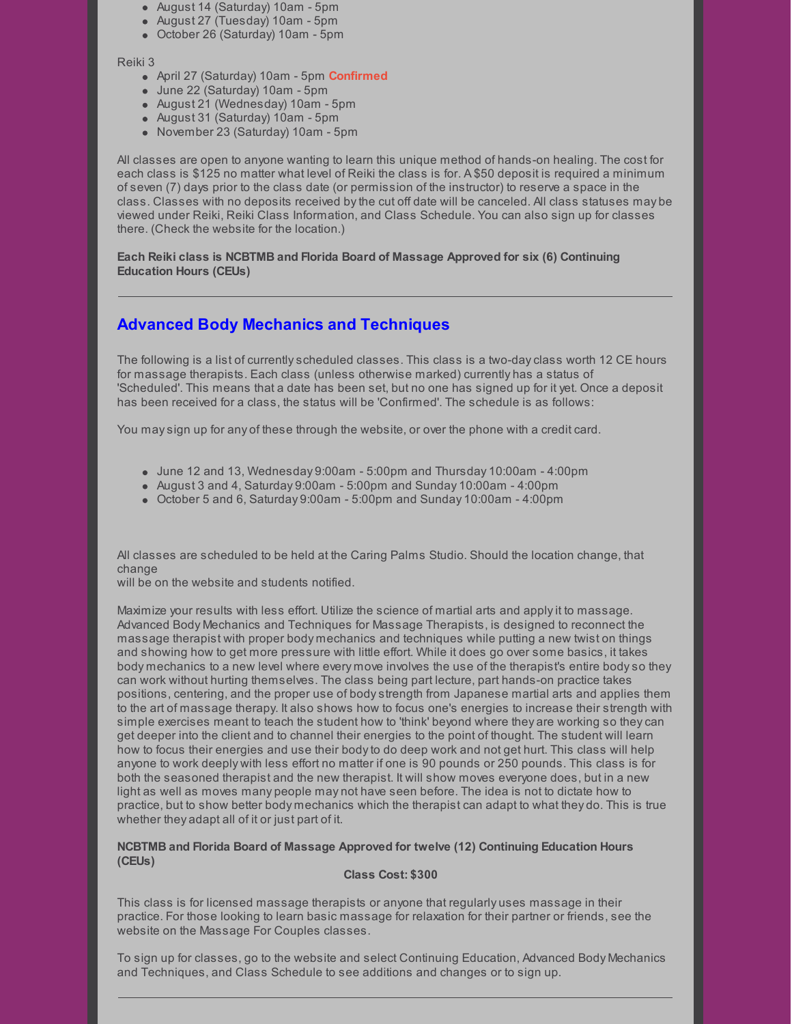- August 14 (Saturday) 10am 5pm
- August 27 (Tuesday) 10am 5pm
- October 26 (Saturday) 10am 5pm

#### Reiki 3

- April 27 (Saturday) 10am 5pm **Confirmed**
- June 22 (Saturday) 10am 5pm
- August 21 (Wednesday) 10am 5pm
- August 31 (Saturday) 10am 5pm
- November 23 (Saturday) 10am 5pm

All classes are open to anyone wanting to learn this unique method of hands-on healing. The cost for each class is \$125 no matter what level of Reiki the class is for. A \$50 deposit is required a minimum of seven (7) days prior to the class date (or permission of the instructor) to reserve a space in the class. Classes with no deposits received bythe cut off date will be canceled. All class statuses may be viewed under Reiki, Reiki Class Information, and Class Schedule. You can also sign up for classes there. (Check the website for the location.)

**Each Reiki class is NCBTMB and Florida Board of Massage Approved for six (6) Continuing Education Hours (CEUs)**

# **Advanced Body Mechanics and Techniques**

The following is a list of currentlyscheduled classes. This class is a two-dayclass worth 12 CE hours for massage therapists. Each class (unless otherwise marked) currently has a status of 'Scheduled'. This means that a date has been set, but no one has signed up for it yet. Once a deposit has been received for a class, the status will be 'Confirmed'. The schedule is as follows:

You maysign up for any of these through the website, or over the phone with a credit card.

- $\bullet$  June 12 and 13, Wednesday 9:00am 5:00pm and Thursday 10:00am 4:00pm
- $\bullet$  August 3 and 4, Saturday 9:00am 5:00pm and Sunday 10:00am 4:00pm
- October 5 and 6, Saturday 9:00am 5:00pm and Sunday 10:00am 4:00pm

All classes are scheduled to be held at the Caring Palms Studio. Should the location change, that change

will be on the website and students notified.

Maximize your results with less effort. Utilize the science of martial arts and applyit to massage. Advanced Body Mechanics and Techniques for Massage Therapists, is designed to reconnect the massage therapist with proper body mechanics and techniques while putting a new twist on things and showing how to get more pressure with little effort. While it does go over some basics, it takes body mechanics to a new level where every move involves the use of the therapist's entire bodyso they can work without hurting themselves. The class being part lecture, part hands-on practice takes positions, centering, and the proper use of bodystrength from Japanese martial arts and applies them to the art of massage therapy. It also shows how to focus one's energies to increase their strength with simple exercises meant to teach the student how to 'think' beyond where they are working so theycan get deeper into the client and to channel their energies to the point of thought. The student will learn how to focus their energies and use their bodyto do deep work and not get hurt. This class will help anyone to work deeply with less effort no matter if one is 90 pounds or 250 pounds. This class is for both the seasoned therapist and the new therapist. It will show moves everyone does, but in a new light as well as moves many people may not have seen before. The idea is not to dictate how to practice, but to show better body mechanics which the therapist can adapt to what they do. This is true whether they adapt all of it or just part of it.

#### **NCBTMB and Florida Board of Massage Approved for twelve (12) Continuing Education Hours (CEUs)**

#### **Class Cost: \$300**

This class is for licensed massage therapists or anyone that regularly uses massage in their practice. For those looking to learn basic massage for relaxation for their partner or friends, see the website on the Massage For Couples classes.

To sign up for classes, go to the website and select Continuing Education, Advanced Body Mechanics and Techniques, and Class Schedule to see additions and changes or to sign up.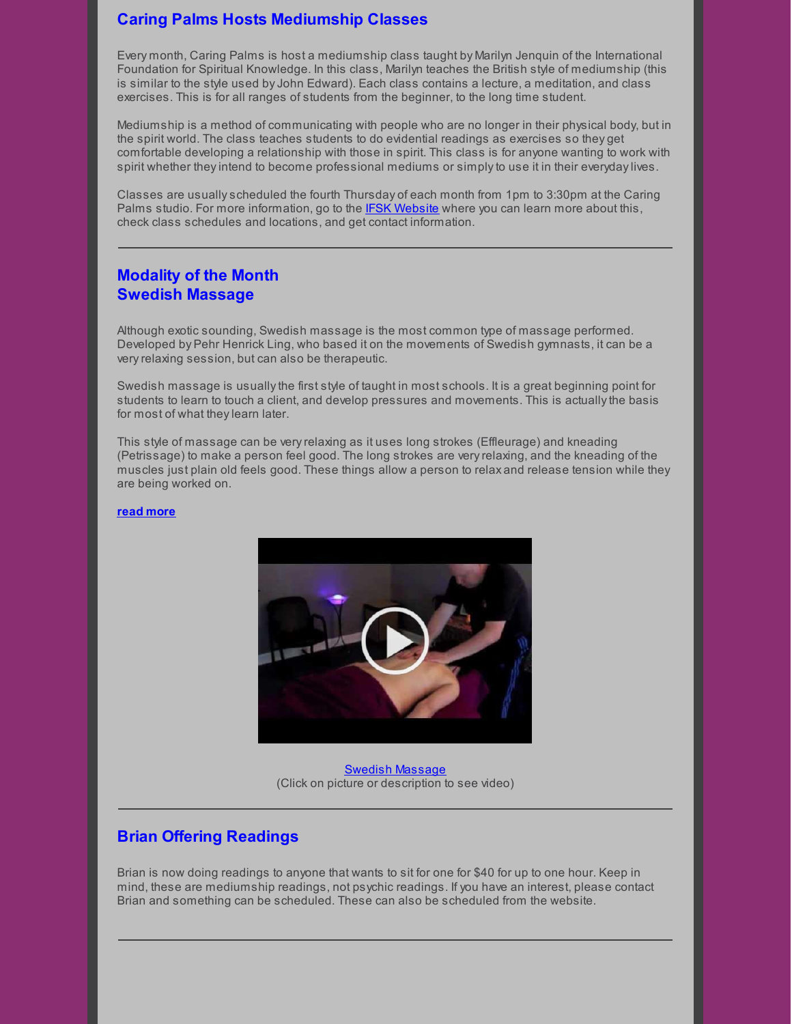## **Caring Palms Hosts Mediumship Classes**

Every month, Caring Palms is host a mediumship class taught by Marilyn Jenquin of the International Foundation for Spiritual Knowledge. In this class, Marilyn teaches the British style of mediumship (this is similar to the style used by John Edward). Each class contains a lecture, a meditation, and class exercises. This is for all ranges of students from the beginner, to the long time student.

Mediumship is a method of communicating with people who are no longer in their physical body, but in the spirit world. The class teaches students to do evidential readings as exercises so they get comfortable developing a relationship with those in spirit. This class is for anyone wanting to work with spirit whether they intend to become professional mediums or simply to use it in their everyday lives.

Classes are usuallyscheduled the fourth Thursday of each month from 1pm to 3:30pm at the Caring Palms studio. For more information, go to the IFSK [Website](http://www.ifsk.org/) where you can learn more about this, check class schedules and locations, and get contact information.

### **Modality of the Month Swedish Massage**

Although exotic sounding, Swedish massage is the most common type of massage performed. Developed by Pehr Henrick Ling, who based it on the movements of Swedish gymnasts, it can be a veryrelaxing session, but can also be therapeutic.

Swedish massage is usually the first style of taught in most schools. It is a great beginning point for students to learn to touch a client, and develop pressures and movements. This is actuallythe basis for most of what theylearn later.

This style of massage can be veryrelaxing as it uses long strokes (Effleurage) and kneading (Petrissage) to make a person feel good. The long strokes are veryrelaxing, and the kneading of the muscles just plain old feels good. These things allow a person to relax and release tension while they are being worked on.

#### **read [more](http://caringpalms.com/article_swedish.html)**



Swedish [Massage](https://www.youtube.com/watch?v=PbEZa9W0MNM) (Click on picture or description to see video)

#### **Brian Offering Readings**

Brian is now doing readings to anyone that wants to sit for one for \$40 for up to one hour. Keep in mind, these are mediumship readings, not psychic readings. If you have an interest, please contact Brian and something can be scheduled. These can also be scheduled from the website.